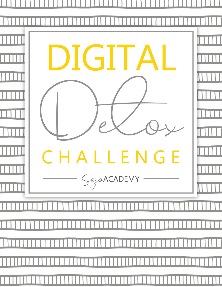|   | DIGITAL                               |   |
|---|---------------------------------------|---|
|   |                                       |   |
|   | $\overline{\phantom{a}}$<br>CHALLENGE |   |
|   | $S^{\circ}$ goacademy                 |   |
|   |                                       |   |
| Щ |                                       |   |
|   | 1111111111111111                      | П |
|   |                                       |   |
|   |                                       |   |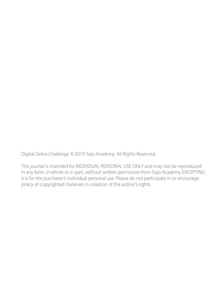Digital Detox Challenge © 2019 Sojo Academy. All Rights Reserved.

This journal is intended for INDIVIDUAL PERSONAL USE ONLY and may not be reproduced in any form, in whole or in part, without written permission from Sojo Academy EXCEPTING it is for the purchaser's individual personal use. Please do not participate in or encourage piracy of copyrighted materials in violation of the author's rights.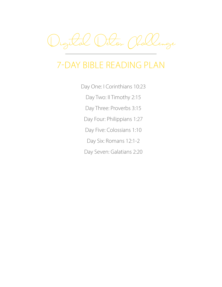Digital Detox Challenge

# 7-DAY BIBLE READING PLAN

Day One: I Corinthians 10:23

Day Two: II Timothy 2:15

Day Three: Proverbs 3:15

Day Four: Philippians 1:27

Day Five: Colossians 1:10

Day Six: Romans 12:1-2

Day Seven: Galatians 2:20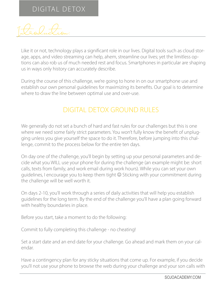Introduction:

Like it or not, technology plays a significant role in our lives. Digital tools such as cloud storage, apps, and video streaming can help, ahem, streamline our lives; yet the limitless options can also rob us of much needed rest and focus. Smartphones in particular are shaping us in ways only history can accurately describe.

During the course of this challenge, we're going to hone in on our smartphone use and establish our own personal guidelines for maximizing its benefits. Our goal is to determine where to draw the line between optimal use and over-use.

#### DIGITAL DETOX GROUND RULES

We generally do not set a bunch of hard and fast rules for our challenges but this is one where we need some fairly strict parameters. You won't fully know the benefit of unplugging unless you give yourself the space to do it. Therefore, before jumping into this challenge, commit to the process below for the entire ten days.

On day one of the challenge, you'll begin by setting up your personal parameters and decide what you WILL use your phone for during the challenge (an example might be: short calls, texts from family, and work email during work hours). While you can set your own guidelines, I encourage you to keep them tight  $\odot$  Sticking with your commitment during the challenge will be well worth it.

On days 2-10, you'll work through a series of daily activities that will help you establish guidelines for the long term. By the end of the challenge you'll have a plan going forward with healthy boundaries in place.

Before you start, take a moment to do the following:

Commit to fully completing this challenge - no cheating!

Set a start date and an end date for your challenge. Go ahead and mark them on your calendar.

Have a contingency plan for any sticky situations that come up. For example, if you decide you'll not use your phone to browse the web during your challenge and your son calls with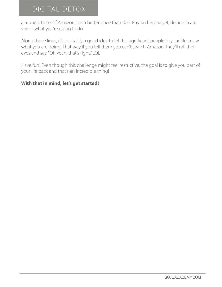a request to see if Amazon has a better price than Best Buy on his gadget, decide in advance what you're going to do.

Along those lines, it's probably a good idea to let the significant people in your life know what you are doing! That way if you tell them you can't search Amazon, they'll roll their eyes and say, "Oh yeah, that's right." LOL

Have fun! Even though this challenge might feel restrictive, the goal is to give you part of your life back and that's an incredible thing!

#### **With that in mind, let's get started!**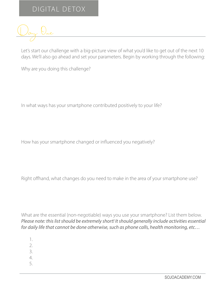

Let's start our challenge with a big-picture view of what you'd like to get out of the next 10 days. We'll also go ahead and set your parameters. Begin by working through the following:

Why are you doing this challenge?

In what ways has your smartphone contributed positively to your life?

How has your smartphone changed or influenced you negatively?

Right offhand, what changes do you need to make in the area of your smartphone use?

What are the essential (non-negotiable) ways you use your smartphone? List them below. *Please note: this list should be extremely short! It should generally include activities essential for daily life that cannot be done otherwise, such as phone calls, health monitoring, etc…*

- 1.
- 2.
- 3.
- 4.
- 5.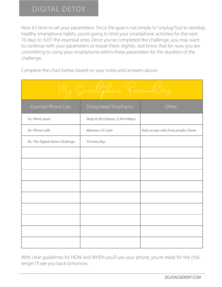Now it's time to set your parameters. Since the goal is not simply to "unplug" but to develop healthy smartphone habits, you're going to limit your smartphone activities for the next 10 days to JUST the essential ones. Once you've completed the challenge, you may want to continue with your parameters or tweak them slightly. Just know that for now, you are committing to using your smartphone within these parameters for the duration of the challenge.

Complete the chart below based on your notes and answers above:

| Smaltphone Palameters           |                                |                                      |  |  |  |  |
|---------------------------------|--------------------------------|--------------------------------------|--|--|--|--|
| Essential Phone Use:            | Designated Timeframe:          | Other:                               |  |  |  |  |
| Ex: Work email                  | Daily 8:30-9:00am; 3:30-4:00pm |                                      |  |  |  |  |
| Ex: Phone calls                 | Between 12-5 pm                | Only accept calls from people I know |  |  |  |  |
| Ex: The Digital Detox Challenge | 10 mins/day                    |                                      |  |  |  |  |
|                                 |                                |                                      |  |  |  |  |
|                                 |                                |                                      |  |  |  |  |
|                                 |                                |                                      |  |  |  |  |
|                                 |                                |                                      |  |  |  |  |
|                                 |                                |                                      |  |  |  |  |
|                                 |                                |                                      |  |  |  |  |
|                                 |                                |                                      |  |  |  |  |
|                                 |                                |                                      |  |  |  |  |
|                                 |                                |                                      |  |  |  |  |

With clear guidelines for HOW and WHEN you'll use your phone, you're ready for the challenge! I'll see you back tomorrow.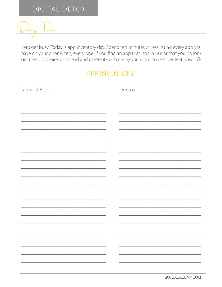

Let's get busy! Today is app inventory day. Spend ten minutes or less listing every app you have on your phone. Yep, every one! If you find an app that isn't in use or that you no longer need or desire, go ahead and delete it--> that way you won't have to write it down  $\odot$ 

#### **APP INVENTORY:**

| Name of App: | Purpose: |
|--------------|----------|
|              |          |
|              |          |
|              |          |
|              |          |
|              |          |
|              |          |
|              |          |
|              |          |
|              |          |
|              |          |
|              |          |
|              |          |
|              |          |
|              |          |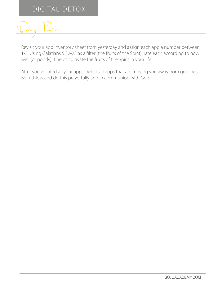Day Ree

Revisit your app inventory sheet from yesterday and assign each app a number between 1-5. Using Galatians 5:22-23 as a filter (the fruits of the Spirit), rate each according to how well (or poorly) it helps cultivate the fruits of the Spirit in your life.

After you've rated all your apps, delete all apps that are moving you away from godliness. Be ruthless and do this prayerfully and in communion with God.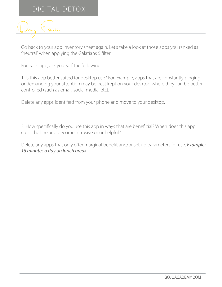

Go back to your app inventory sheet again. Let's take a look at those apps you ranked as "neutral" when applying the Galatians 5 filter.

For each app, ask yourself the following:

1. Is this app better suited for desktop use? For example, apps that are constantly pinging or demanding your attention may be best kept on your desktop where they can be better controlled (such as email, social media, etc).

Delete any apps identified from your phone and move to your desktop.

2. How specifically do you use this app in ways that are beneficial? When does this app cross the line and become intrusive or unhelpful?

Delete any apps that only offer marginal benefit and/or set up parameters for use. *Example: 15 minutes a day on lunch break*.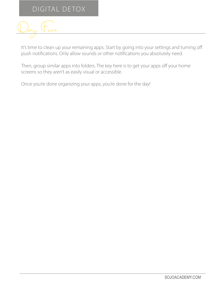

It's time to clean up your remaining apps. Start by going into your settings and turning off push notifications. Only allow sounds or other notifications you absolutely need.

Then, group similar apps into folders. The key here is to get your apps off your home screens so they aren't as easily visual or accessible.

Once you're done organizing your apps, you're done for the day!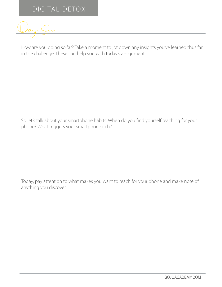Day Six

How are you doing so far? Take a moment to jot down any insights you've learned thus far in the challenge. These can help you with today's assignment.

So let's talk about your smartphone habits. When do you find yourself reaching for your phone? What triggers your smartphone itch?

Today, pay attention to what makes you want to reach for your phone and make note of anything you discover.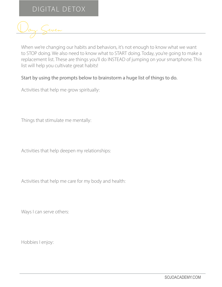Day Seven

When we're changing our habits and behaviors, it's not enough to know what we want to STOP doing. We also need to know what to START doing. Today, you're going to make a replacement list. These are things you'll do INSTEAD of jumping on your smartphone. This list will help you cultivate great habits!

#### Start by using the prompts below to brainstorm a huge list of things to do.

Activities that help me grow spiritually:

Things that stimulate me mentally:

Activities that help deepen my relationships:

Activities that help me care for my body and health:

Ways I can serve others:

Hobbies I enjoy: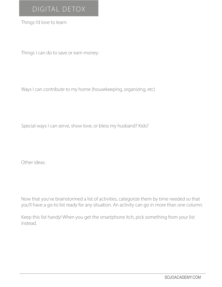Things I'd love to learn:

Things I can do to save or earn money:

Ways I can contribute to my home (housekeeping, organizing, etc)

Special ways I can serve, show love, or bless my husband? Kids?

Other ideas:

Now that you've brainstormed a list of activities, categorize them by time needed so that you'll have a go-to list ready for any situation. An activity can go in more than one column.

Keep this list handy! When you get the smartphone itch, pick something from your list instead.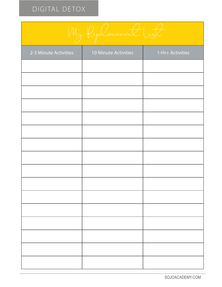

| 2-3 Minute Activities | 10 Minute Activities | 1-Hr+ Activities |
|-----------------------|----------------------|------------------|
|                       |                      |                  |
|                       |                      |                  |
|                       |                      |                  |
|                       |                      |                  |
|                       |                      |                  |
|                       |                      |                  |
|                       |                      |                  |
|                       |                      |                  |
|                       |                      |                  |
|                       |                      |                  |
|                       |                      |                  |
|                       |                      |                  |
|                       |                      |                  |
|                       |                      |                  |
|                       |                      |                  |
|                       |                      |                  |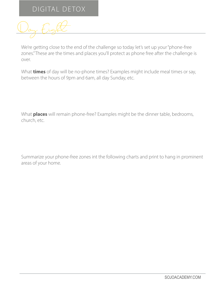Day Eight

We're getting close to the end of the challenge so today let's set up your "phone-free zones." These are the times and places you'll protect as phone free after the challenge is over.

What **times** of day will be no-phone times? Examples might include meal times or say, between the hours of 9pm and 6am, all day Sunday, etc.

What **places** will remain phone-free? Examples might be the dinner table, bedrooms, church, etc.

Summarize your phone-free zones int the following charts and print to hang in prominent areas of your home.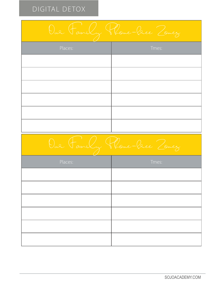| Oue Family Phone-lee Zonez |       |  |  |  |
|----------------------------|-------|--|--|--|
| Places:                    | Tmes: |  |  |  |
|                            |       |  |  |  |
|                            |       |  |  |  |
|                            |       |  |  |  |
|                            |       |  |  |  |
|                            |       |  |  |  |
|                            |       |  |  |  |
| Oue Family Plane-lee Zonez |       |  |  |  |
|                            |       |  |  |  |
| Places:                    | Tmes: |  |  |  |
|                            |       |  |  |  |
|                            |       |  |  |  |
|                            |       |  |  |  |
|                            |       |  |  |  |
|                            |       |  |  |  |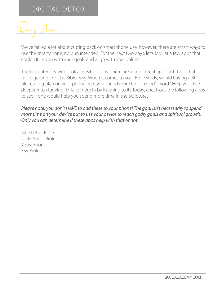Day Nine

We've talked a lot about cutting back on smartphone use; however, there are smart ways to use the smartphone, no pun intended. For the next two days, let's look at a few apps that could HELP you with your goals and align with your values.

The first category we'll look at is Bible study. There are a lot of great apps out there that make getting into the Bible easy. When it comes to your Bible study, would having a Bible reading plan on your phone help you spend more time in God's word? Help you dive deeper into studying it? Take more in by listening to it? Today, check out the following apps to see if one would help you spend more time in the Scriptures.

#### *Please note, you don't HAVE to add these to your phone! The goal isn't necessarily to spend more time on your device but to use your device to reach godly goals and spiritual growth. Only you can determine if these apps help with that or not.*

Blue Letter Bible Daily Audio Bible YouVersion ESV Bible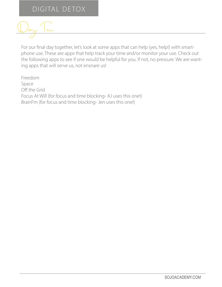

For our final day together, let's look at some apps that can help (yes, help!) with smartphone use. These are apps that help track your time and/or monitor your use. Check out the following apps to see if one would be helpful for you. If not, no pressure. We are wanting apps that will serve us, not ensnare us!

Freedom Space Off the Grid Focus At Will (for focus and time blocking- AJ uses this one!) BrainFm (for focus and time blocking- Jen uses this one!)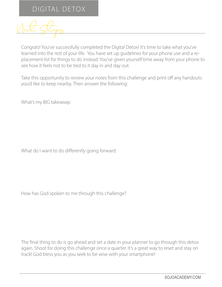Next Steps

Congrats! You've successfully completed the Digital Detox! It's time to take what you've learned into the rest of your life. You have set up guidelines for your phone use and a replacement list for things to do instead. You've given yourself time away from your phone to see how it feels not to be tied to it day in and day out.

Take this opportunity to review your notes from this challenge and print off any handouts you'd like to keep nearby. Then answer the following:

What's my BIG takeaway:

What do I want to do differently going forward:

How has God spoken to me through this challenge?

The final thing to do is go ahead and set a date in your planner to go through this detox again. Shoot for doing this challenge once a quarter. It's a great way to reset and stay on track! God bless you as you seek to be wise with your smartphone!